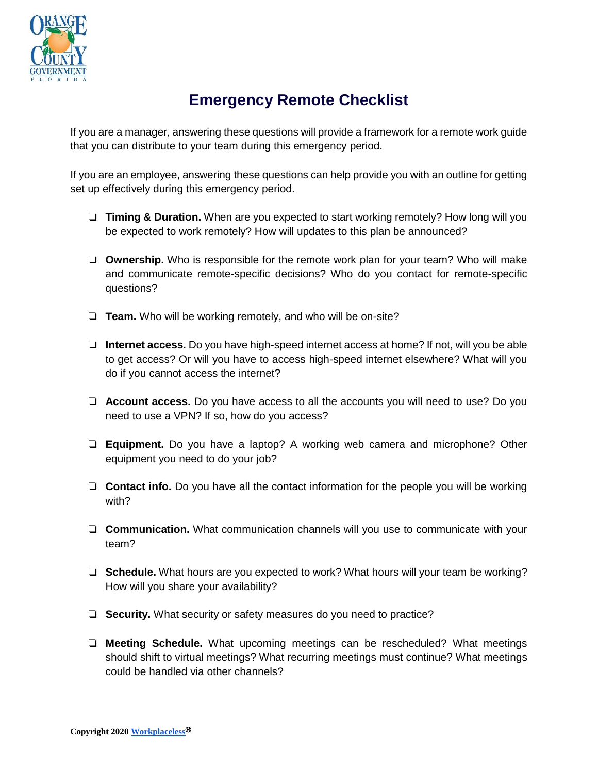

## **Emergency Remote Checklist**

If you are a manager, answering these questions will provide a framework for a remote work guide that you can distribute to your team during this emergency period.

If you are an employee, answering these questions can help provide you with an outline for getting set up effectively during this emergency period.

- ❏ **Timing & Duration.** When are you expected to start working remotely? How long will you be expected to work remotely? How will updates to this plan be announced?
- ❏ **Ownership.** Who is responsible for the remote work plan for your team? Who will make and communicate remote-specific decisions? Who do you contact for remote-specific questions?
- ❏ **Team.** Who will be working remotely, and who will be on-site?
- ❏ **Internet access.** Do you have high-speed internet access at home? If not, will you be able to get access? Or will you have to access high-speed internet elsewhere? What will you do if you cannot access the internet?
- ❏ **Account access.** Do you have access to all the accounts you will need to use? Do you need to use a VPN? If so, how do you access?
- ❏ **Equipment.** Do you have a laptop? A working web camera and microphone? Other equipment you need to do your job?
- ❏ **Contact info.** Do you have all the contact information for the people you will be working with?
- ❏ **Communication.** What communication channels will you use to communicate with your team?
- ❏ **Schedule.** What hours are you expected to work? What hours will your team be working? How will you share your availability?
- ❏ **Security.** What security or safety measures do you need to practice?
- ❏ **Meeting Schedule.** What upcoming meetings can be rescheduled? What meetings should shift to virtual meetings? What recurring meetings must continue? What meetings could be handled via other channels?